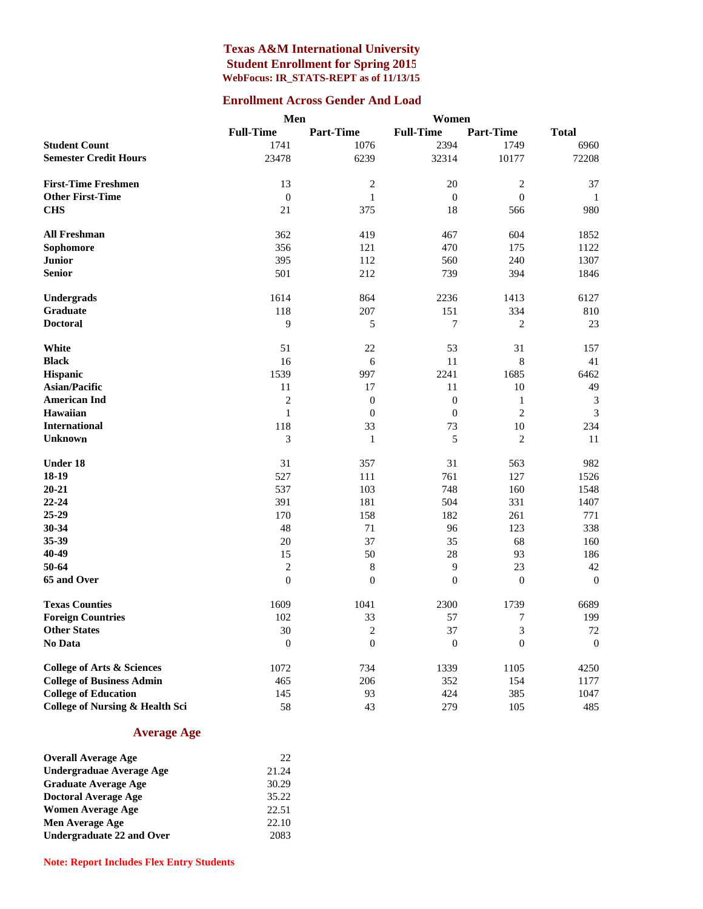#### **Texas A&M International University Student Enrollment for Spring 2015 WebFocus: IR\_STATS-REPT as of 11/13/15**

#### **Enrollment Across Gender And Load**

| <b>Full-Time</b><br><b>Part-Time</b><br><b>Full-Time</b><br><b>Part-Time</b><br><b>Total</b><br><b>Student Count</b><br>1741<br>2394<br>1076<br>1749<br>6960<br>6239<br>32314<br>10177<br>72208<br><b>Semester Credit Hours</b><br>23478<br><b>First-Time Freshmen</b><br>13<br>$\mathfrak{2}$<br>20<br>$\mathfrak{2}$<br>37<br><b>Other First-Time</b><br>$\boldsymbol{0}$<br>$\boldsymbol{0}$<br>$\boldsymbol{0}$<br>$\mathbf{1}$<br>1<br><b>CHS</b><br>18<br>980<br>21<br>375<br>566<br><b>All Freshman</b><br>362<br>419<br>604<br>467<br>1852<br>Sophomore<br>356<br>121<br>470<br>175<br>1122<br><b>Junior</b><br>395<br>112<br>240<br>1307<br>560<br><b>Senior</b><br>501<br>212<br>739<br>394<br>1846<br>Undergrads<br>1614<br>2236<br>864<br>1413<br>6127<br>Graduate<br>207<br>334<br>810<br>118<br>151<br><b>Doctoral</b><br>9<br>$\tau$<br>$\mathfrak{2}$<br>23<br>5<br>White<br>51<br>22<br>53<br>31<br>157<br><b>Black</b><br>16<br>11<br>8<br>41<br>6<br>1539<br>997<br>1685<br>6462<br><b>Hispanic</b><br>2241<br>49<br><b>Asian/Pacific</b><br>11<br>17<br>11<br>10<br>$\mathbf{0}$<br><b>American Ind</b><br>2<br>$\theta$<br>$\mathbf{1}$<br>3<br>$\overline{2}$<br><b>Hawaiian</b><br>$\mathbf{1}$<br>$\overline{0}$<br>$\mathbf{0}$<br>$\mathfrak{Z}$<br><b>International</b><br>118<br>33<br>73<br>$10\,$<br>234<br>5<br>3<br>$\mathfrak{2}$<br>11<br><b>Unknown</b><br>$\mathbf{1}$<br><b>Under 18</b><br>31<br>357<br>31<br>563<br>982<br>18-19<br>527<br>111<br>761<br>127<br>1526<br>$20 - 21$<br>537<br>103<br>160<br>748<br>1548<br>$22 - 24$<br>391<br>504<br>331<br>181<br>1407<br>25-29<br>170<br>158<br>182<br>261<br>771<br>30-34<br>48<br>71<br>96<br>123<br>338<br>35-39<br>20<br>37<br>68<br>35<br>160<br>40-49<br>50<br>15<br>28<br>93<br>186<br>9<br>50-64<br>23<br>$\mathfrak{2}$<br>$\,8\,$<br>42<br>$\boldsymbol{0}$<br>65 and Over<br>$\theta$<br>$\overline{0}$<br>$\overline{0}$<br>$\theta$<br><b>Texas Counties</b><br>1609<br>1041<br>2300<br>1739<br>6689<br>102<br>33<br>199<br><b>Foreign Countries</b><br>57<br>7<br><b>Other States</b><br>30<br>$\overline{c}$<br>37<br>$\mathfrak{Z}$<br>72<br>No Data<br>$\boldsymbol{0}$<br>$\boldsymbol{0}$<br>$\boldsymbol{0}$<br>$\boldsymbol{0}$<br>$\mathbf{0}$<br>734<br><b>College of Arts &amp; Sciences</b><br>1072<br>1339<br>1105<br>4250<br><b>College of Business Admin</b><br>465<br>206<br>352<br>154<br>1177 |                             | Men |    | Women |     |      |
|----------------------------------------------------------------------------------------------------------------------------------------------------------------------------------------------------------------------------------------------------------------------------------------------------------------------------------------------------------------------------------------------------------------------------------------------------------------------------------------------------------------------------------------------------------------------------------------------------------------------------------------------------------------------------------------------------------------------------------------------------------------------------------------------------------------------------------------------------------------------------------------------------------------------------------------------------------------------------------------------------------------------------------------------------------------------------------------------------------------------------------------------------------------------------------------------------------------------------------------------------------------------------------------------------------------------------------------------------------------------------------------------------------------------------------------------------------------------------------------------------------------------------------------------------------------------------------------------------------------------------------------------------------------------------------------------------------------------------------------------------------------------------------------------------------------------------------------------------------------------------------------------------------------------------------------------------------------------------------------------------------------------------------------------------------------------------------------------------------------------------------------------------------------------------------------------------------------------------------------------------------------------------------------------------------------------------------------------------------------------------------------------------------------------|-----------------------------|-----|----|-------|-----|------|
|                                                                                                                                                                                                                                                                                                                                                                                                                                                                                                                                                                                                                                                                                                                                                                                                                                                                                                                                                                                                                                                                                                                                                                                                                                                                                                                                                                                                                                                                                                                                                                                                                                                                                                                                                                                                                                                                                                                                                                                                                                                                                                                                                                                                                                                                                                                                                                                                                      |                             |     |    |       |     |      |
|                                                                                                                                                                                                                                                                                                                                                                                                                                                                                                                                                                                                                                                                                                                                                                                                                                                                                                                                                                                                                                                                                                                                                                                                                                                                                                                                                                                                                                                                                                                                                                                                                                                                                                                                                                                                                                                                                                                                                                                                                                                                                                                                                                                                                                                                                                                                                                                                                      |                             |     |    |       |     |      |
|                                                                                                                                                                                                                                                                                                                                                                                                                                                                                                                                                                                                                                                                                                                                                                                                                                                                                                                                                                                                                                                                                                                                                                                                                                                                                                                                                                                                                                                                                                                                                                                                                                                                                                                                                                                                                                                                                                                                                                                                                                                                                                                                                                                                                                                                                                                                                                                                                      |                             |     |    |       |     |      |
|                                                                                                                                                                                                                                                                                                                                                                                                                                                                                                                                                                                                                                                                                                                                                                                                                                                                                                                                                                                                                                                                                                                                                                                                                                                                                                                                                                                                                                                                                                                                                                                                                                                                                                                                                                                                                                                                                                                                                                                                                                                                                                                                                                                                                                                                                                                                                                                                                      |                             |     |    |       |     |      |
|                                                                                                                                                                                                                                                                                                                                                                                                                                                                                                                                                                                                                                                                                                                                                                                                                                                                                                                                                                                                                                                                                                                                                                                                                                                                                                                                                                                                                                                                                                                                                                                                                                                                                                                                                                                                                                                                                                                                                                                                                                                                                                                                                                                                                                                                                                                                                                                                                      |                             |     |    |       |     |      |
|                                                                                                                                                                                                                                                                                                                                                                                                                                                                                                                                                                                                                                                                                                                                                                                                                                                                                                                                                                                                                                                                                                                                                                                                                                                                                                                                                                                                                                                                                                                                                                                                                                                                                                                                                                                                                                                                                                                                                                                                                                                                                                                                                                                                                                                                                                                                                                                                                      |                             |     |    |       |     |      |
|                                                                                                                                                                                                                                                                                                                                                                                                                                                                                                                                                                                                                                                                                                                                                                                                                                                                                                                                                                                                                                                                                                                                                                                                                                                                                                                                                                                                                                                                                                                                                                                                                                                                                                                                                                                                                                                                                                                                                                                                                                                                                                                                                                                                                                                                                                                                                                                                                      |                             |     |    |       |     |      |
|                                                                                                                                                                                                                                                                                                                                                                                                                                                                                                                                                                                                                                                                                                                                                                                                                                                                                                                                                                                                                                                                                                                                                                                                                                                                                                                                                                                                                                                                                                                                                                                                                                                                                                                                                                                                                                                                                                                                                                                                                                                                                                                                                                                                                                                                                                                                                                                                                      |                             |     |    |       |     |      |
|                                                                                                                                                                                                                                                                                                                                                                                                                                                                                                                                                                                                                                                                                                                                                                                                                                                                                                                                                                                                                                                                                                                                                                                                                                                                                                                                                                                                                                                                                                                                                                                                                                                                                                                                                                                                                                                                                                                                                                                                                                                                                                                                                                                                                                                                                                                                                                                                                      |                             |     |    |       |     |      |
|                                                                                                                                                                                                                                                                                                                                                                                                                                                                                                                                                                                                                                                                                                                                                                                                                                                                                                                                                                                                                                                                                                                                                                                                                                                                                                                                                                                                                                                                                                                                                                                                                                                                                                                                                                                                                                                                                                                                                                                                                                                                                                                                                                                                                                                                                                                                                                                                                      |                             |     |    |       |     |      |
|                                                                                                                                                                                                                                                                                                                                                                                                                                                                                                                                                                                                                                                                                                                                                                                                                                                                                                                                                                                                                                                                                                                                                                                                                                                                                                                                                                                                                                                                                                                                                                                                                                                                                                                                                                                                                                                                                                                                                                                                                                                                                                                                                                                                                                                                                                                                                                                                                      |                             |     |    |       |     |      |
|                                                                                                                                                                                                                                                                                                                                                                                                                                                                                                                                                                                                                                                                                                                                                                                                                                                                                                                                                                                                                                                                                                                                                                                                                                                                                                                                                                                                                                                                                                                                                                                                                                                                                                                                                                                                                                                                                                                                                                                                                                                                                                                                                                                                                                                                                                                                                                                                                      |                             |     |    |       |     |      |
|                                                                                                                                                                                                                                                                                                                                                                                                                                                                                                                                                                                                                                                                                                                                                                                                                                                                                                                                                                                                                                                                                                                                                                                                                                                                                                                                                                                                                                                                                                                                                                                                                                                                                                                                                                                                                                                                                                                                                                                                                                                                                                                                                                                                                                                                                                                                                                                                                      |                             |     |    |       |     |      |
|                                                                                                                                                                                                                                                                                                                                                                                                                                                                                                                                                                                                                                                                                                                                                                                                                                                                                                                                                                                                                                                                                                                                                                                                                                                                                                                                                                                                                                                                                                                                                                                                                                                                                                                                                                                                                                                                                                                                                                                                                                                                                                                                                                                                                                                                                                                                                                                                                      |                             |     |    |       |     |      |
|                                                                                                                                                                                                                                                                                                                                                                                                                                                                                                                                                                                                                                                                                                                                                                                                                                                                                                                                                                                                                                                                                                                                                                                                                                                                                                                                                                                                                                                                                                                                                                                                                                                                                                                                                                                                                                                                                                                                                                                                                                                                                                                                                                                                                                                                                                                                                                                                                      |                             |     |    |       |     |      |
|                                                                                                                                                                                                                                                                                                                                                                                                                                                                                                                                                                                                                                                                                                                                                                                                                                                                                                                                                                                                                                                                                                                                                                                                                                                                                                                                                                                                                                                                                                                                                                                                                                                                                                                                                                                                                                                                                                                                                                                                                                                                                                                                                                                                                                                                                                                                                                                                                      |                             |     |    |       |     |      |
|                                                                                                                                                                                                                                                                                                                                                                                                                                                                                                                                                                                                                                                                                                                                                                                                                                                                                                                                                                                                                                                                                                                                                                                                                                                                                                                                                                                                                                                                                                                                                                                                                                                                                                                                                                                                                                                                                                                                                                                                                                                                                                                                                                                                                                                                                                                                                                                                                      |                             |     |    |       |     |      |
|                                                                                                                                                                                                                                                                                                                                                                                                                                                                                                                                                                                                                                                                                                                                                                                                                                                                                                                                                                                                                                                                                                                                                                                                                                                                                                                                                                                                                                                                                                                                                                                                                                                                                                                                                                                                                                                                                                                                                                                                                                                                                                                                                                                                                                                                                                                                                                                                                      |                             |     |    |       |     |      |
|                                                                                                                                                                                                                                                                                                                                                                                                                                                                                                                                                                                                                                                                                                                                                                                                                                                                                                                                                                                                                                                                                                                                                                                                                                                                                                                                                                                                                                                                                                                                                                                                                                                                                                                                                                                                                                                                                                                                                                                                                                                                                                                                                                                                                                                                                                                                                                                                                      |                             |     |    |       |     |      |
|                                                                                                                                                                                                                                                                                                                                                                                                                                                                                                                                                                                                                                                                                                                                                                                                                                                                                                                                                                                                                                                                                                                                                                                                                                                                                                                                                                                                                                                                                                                                                                                                                                                                                                                                                                                                                                                                                                                                                                                                                                                                                                                                                                                                                                                                                                                                                                                                                      |                             |     |    |       |     |      |
|                                                                                                                                                                                                                                                                                                                                                                                                                                                                                                                                                                                                                                                                                                                                                                                                                                                                                                                                                                                                                                                                                                                                                                                                                                                                                                                                                                                                                                                                                                                                                                                                                                                                                                                                                                                                                                                                                                                                                                                                                                                                                                                                                                                                                                                                                                                                                                                                                      |                             |     |    |       |     |      |
|                                                                                                                                                                                                                                                                                                                                                                                                                                                                                                                                                                                                                                                                                                                                                                                                                                                                                                                                                                                                                                                                                                                                                                                                                                                                                                                                                                                                                                                                                                                                                                                                                                                                                                                                                                                                                                                                                                                                                                                                                                                                                                                                                                                                                                                                                                                                                                                                                      |                             |     |    |       |     |      |
|                                                                                                                                                                                                                                                                                                                                                                                                                                                                                                                                                                                                                                                                                                                                                                                                                                                                                                                                                                                                                                                                                                                                                                                                                                                                                                                                                                                                                                                                                                                                                                                                                                                                                                                                                                                                                                                                                                                                                                                                                                                                                                                                                                                                                                                                                                                                                                                                                      |                             |     |    |       |     |      |
|                                                                                                                                                                                                                                                                                                                                                                                                                                                                                                                                                                                                                                                                                                                                                                                                                                                                                                                                                                                                                                                                                                                                                                                                                                                                                                                                                                                                                                                                                                                                                                                                                                                                                                                                                                                                                                                                                                                                                                                                                                                                                                                                                                                                                                                                                                                                                                                                                      |                             |     |    |       |     |      |
|                                                                                                                                                                                                                                                                                                                                                                                                                                                                                                                                                                                                                                                                                                                                                                                                                                                                                                                                                                                                                                                                                                                                                                                                                                                                                                                                                                                                                                                                                                                                                                                                                                                                                                                                                                                                                                                                                                                                                                                                                                                                                                                                                                                                                                                                                                                                                                                                                      |                             |     |    |       |     |      |
|                                                                                                                                                                                                                                                                                                                                                                                                                                                                                                                                                                                                                                                                                                                                                                                                                                                                                                                                                                                                                                                                                                                                                                                                                                                                                                                                                                                                                                                                                                                                                                                                                                                                                                                                                                                                                                                                                                                                                                                                                                                                                                                                                                                                                                                                                                                                                                                                                      |                             |     |    |       |     |      |
|                                                                                                                                                                                                                                                                                                                                                                                                                                                                                                                                                                                                                                                                                                                                                                                                                                                                                                                                                                                                                                                                                                                                                                                                                                                                                                                                                                                                                                                                                                                                                                                                                                                                                                                                                                                                                                                                                                                                                                                                                                                                                                                                                                                                                                                                                                                                                                                                                      |                             |     |    |       |     |      |
|                                                                                                                                                                                                                                                                                                                                                                                                                                                                                                                                                                                                                                                                                                                                                                                                                                                                                                                                                                                                                                                                                                                                                                                                                                                                                                                                                                                                                                                                                                                                                                                                                                                                                                                                                                                                                                                                                                                                                                                                                                                                                                                                                                                                                                                                                                                                                                                                                      |                             |     |    |       |     |      |
|                                                                                                                                                                                                                                                                                                                                                                                                                                                                                                                                                                                                                                                                                                                                                                                                                                                                                                                                                                                                                                                                                                                                                                                                                                                                                                                                                                                                                                                                                                                                                                                                                                                                                                                                                                                                                                                                                                                                                                                                                                                                                                                                                                                                                                                                                                                                                                                                                      |                             |     |    |       |     |      |
|                                                                                                                                                                                                                                                                                                                                                                                                                                                                                                                                                                                                                                                                                                                                                                                                                                                                                                                                                                                                                                                                                                                                                                                                                                                                                                                                                                                                                                                                                                                                                                                                                                                                                                                                                                                                                                                                                                                                                                                                                                                                                                                                                                                                                                                                                                                                                                                                                      |                             |     |    |       |     |      |
|                                                                                                                                                                                                                                                                                                                                                                                                                                                                                                                                                                                                                                                                                                                                                                                                                                                                                                                                                                                                                                                                                                                                                                                                                                                                                                                                                                                                                                                                                                                                                                                                                                                                                                                                                                                                                                                                                                                                                                                                                                                                                                                                                                                                                                                                                                                                                                                                                      |                             |     |    |       |     |      |
|                                                                                                                                                                                                                                                                                                                                                                                                                                                                                                                                                                                                                                                                                                                                                                                                                                                                                                                                                                                                                                                                                                                                                                                                                                                                                                                                                                                                                                                                                                                                                                                                                                                                                                                                                                                                                                                                                                                                                                                                                                                                                                                                                                                                                                                                                                                                                                                                                      |                             |     |    |       |     |      |
|                                                                                                                                                                                                                                                                                                                                                                                                                                                                                                                                                                                                                                                                                                                                                                                                                                                                                                                                                                                                                                                                                                                                                                                                                                                                                                                                                                                                                                                                                                                                                                                                                                                                                                                                                                                                                                                                                                                                                                                                                                                                                                                                                                                                                                                                                                                                                                                                                      |                             |     |    |       |     |      |
|                                                                                                                                                                                                                                                                                                                                                                                                                                                                                                                                                                                                                                                                                                                                                                                                                                                                                                                                                                                                                                                                                                                                                                                                                                                                                                                                                                                                                                                                                                                                                                                                                                                                                                                                                                                                                                                                                                                                                                                                                                                                                                                                                                                                                                                                                                                                                                                                                      |                             |     |    |       |     |      |
|                                                                                                                                                                                                                                                                                                                                                                                                                                                                                                                                                                                                                                                                                                                                                                                                                                                                                                                                                                                                                                                                                                                                                                                                                                                                                                                                                                                                                                                                                                                                                                                                                                                                                                                                                                                                                                                                                                                                                                                                                                                                                                                                                                                                                                                                                                                                                                                                                      |                             |     |    |       |     |      |
|                                                                                                                                                                                                                                                                                                                                                                                                                                                                                                                                                                                                                                                                                                                                                                                                                                                                                                                                                                                                                                                                                                                                                                                                                                                                                                                                                                                                                                                                                                                                                                                                                                                                                                                                                                                                                                                                                                                                                                                                                                                                                                                                                                                                                                                                                                                                                                                                                      |                             |     |    |       |     |      |
|                                                                                                                                                                                                                                                                                                                                                                                                                                                                                                                                                                                                                                                                                                                                                                                                                                                                                                                                                                                                                                                                                                                                                                                                                                                                                                                                                                                                                                                                                                                                                                                                                                                                                                                                                                                                                                                                                                                                                                                                                                                                                                                                                                                                                                                                                                                                                                                                                      |                             |     |    |       |     |      |
|                                                                                                                                                                                                                                                                                                                                                                                                                                                                                                                                                                                                                                                                                                                                                                                                                                                                                                                                                                                                                                                                                                                                                                                                                                                                                                                                                                                                                                                                                                                                                                                                                                                                                                                                                                                                                                                                                                                                                                                                                                                                                                                                                                                                                                                                                                                                                                                                                      |                             |     |    |       |     |      |
|                                                                                                                                                                                                                                                                                                                                                                                                                                                                                                                                                                                                                                                                                                                                                                                                                                                                                                                                                                                                                                                                                                                                                                                                                                                                                                                                                                                                                                                                                                                                                                                                                                                                                                                                                                                                                                                                                                                                                                                                                                                                                                                                                                                                                                                                                                                                                                                                                      |                             |     |    |       |     |      |
|                                                                                                                                                                                                                                                                                                                                                                                                                                                                                                                                                                                                                                                                                                                                                                                                                                                                                                                                                                                                                                                                                                                                                                                                                                                                                                                                                                                                                                                                                                                                                                                                                                                                                                                                                                                                                                                                                                                                                                                                                                                                                                                                                                                                                                                                                                                                                                                                                      |                             |     |    |       |     |      |
|                                                                                                                                                                                                                                                                                                                                                                                                                                                                                                                                                                                                                                                                                                                                                                                                                                                                                                                                                                                                                                                                                                                                                                                                                                                                                                                                                                                                                                                                                                                                                                                                                                                                                                                                                                                                                                                                                                                                                                                                                                                                                                                                                                                                                                                                                                                                                                                                                      | <b>College of Education</b> | 145 | 93 | 424   | 385 | 1047 |
| <b>College of Nursing &amp; Health Sci</b><br>58<br>43<br>279<br>105<br>485                                                                                                                                                                                                                                                                                                                                                                                                                                                                                                                                                                                                                                                                                                                                                                                                                                                                                                                                                                                                                                                                                                                                                                                                                                                                                                                                                                                                                                                                                                                                                                                                                                                                                                                                                                                                                                                                                                                                                                                                                                                                                                                                                                                                                                                                                                                                          |                             |     |    |       |     |      |

#### **Average Age**

| <b>Overall Average Age</b>  | 22    |
|-----------------------------|-------|
| Undergraduae Average Age    | 21.24 |
| <b>Graduate Average Age</b> | 30.29 |
| <b>Doctoral Average Age</b> | 35.22 |
| <b>Women Average Age</b>    | 22.51 |
| Men Average Age             | 22.10 |
| Undergraduate 22 and Over   | 2083  |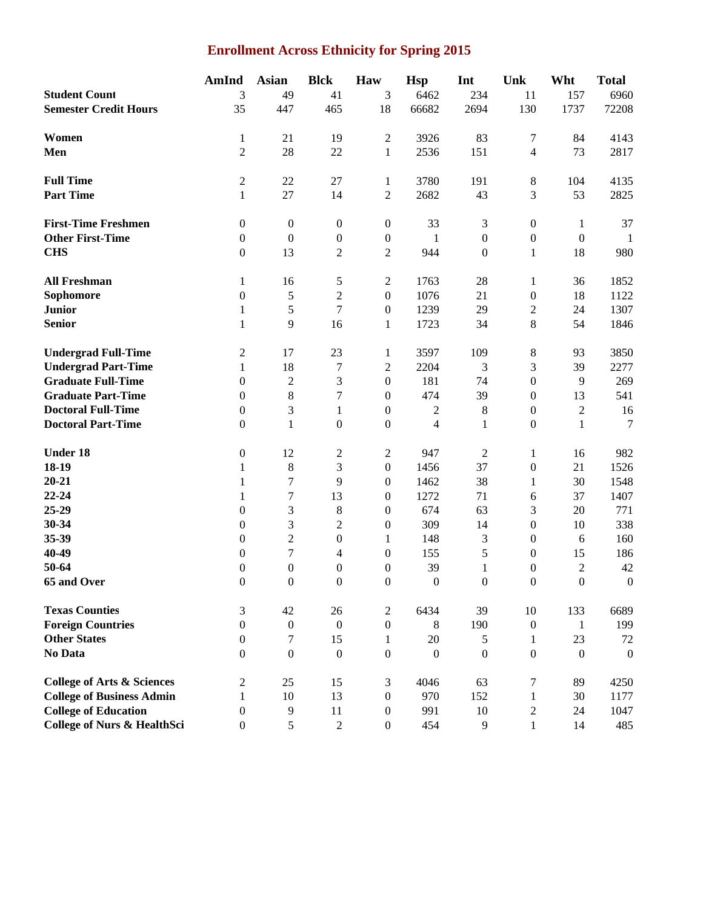# **Enrollment Across Ethnicity for Spring 2015**

|                                        | AmInd            | <b>Asian</b>                | <b>Blck</b>             | Haw              | <b>Hsp</b>       | Int              | Unk              | Wht              | <b>Total</b>     |
|----------------------------------------|------------------|-----------------------------|-------------------------|------------------|------------------|------------------|------------------|------------------|------------------|
| <b>Student Count</b>                   | 3                | 49                          | 41                      | 3                | 6462             | 234              | 11               | 157              | 6960             |
| <b>Semester Credit Hours</b>           | 35               | 447                         | 465                     | 18               | 66682            | 2694             | 130              | 1737             | 72208            |
|                                        |                  |                             |                         |                  |                  |                  |                  |                  |                  |
| Women                                  | $\mathbf{1}$     | 21                          | 19                      | $\mathfrak{2}$   | 3926             | 83               | $\tau$           | 84               | 4143             |
| Men                                    | $\overline{c}$   | 28                          | 22                      | $\mathbf{1}$     | 2536             | 151              | $\overline{4}$   | 73               | 2817             |
| <b>Full Time</b>                       | $\overline{c}$   | $22\,$                      | 27                      | $\mathbf{1}$     | 3780             | 191              | $8\,$            | 104              | 4135             |
| <b>Part Time</b>                       | $\mathbf{1}$     | 27                          | 14                      | $\overline{2}$   | 2682             | 43               | 3                | 53               | 2825             |
| <b>First-Time Freshmen</b>             | $\boldsymbol{0}$ | $\boldsymbol{0}$            | $\boldsymbol{0}$        | $\boldsymbol{0}$ | 33               | $\mathfrak{Z}$   | $\boldsymbol{0}$ | 1                | 37               |
| <b>Other First-Time</b>                | $\boldsymbol{0}$ | $\boldsymbol{0}$            | $\boldsymbol{0}$        | $\boldsymbol{0}$ | $\mathbf{1}$     | $\boldsymbol{0}$ | $\boldsymbol{0}$ | $\boldsymbol{0}$ | -1               |
| <b>CHS</b>                             | $\boldsymbol{0}$ | 13                          | $\overline{c}$          | $\sqrt{2}$       | 944              | $\boldsymbol{0}$ | $\mathbf{1}$     | 18               | 980              |
|                                        |                  |                             |                         |                  |                  |                  |                  |                  |                  |
| <b>All Freshman</b>                    | $\mathbf{1}$     | 16                          | 5                       | $\sqrt{2}$       | 1763             | $28\,$           | 1                | 36               | 1852             |
| Sophomore                              | $\overline{0}$   | 5                           | $\overline{c}$          | $\boldsymbol{0}$ | 1076             | 21               | $\boldsymbol{0}$ | 18               | 1122             |
| <b>Junior</b>                          | $\mathbf{1}$     | 5                           | $\overline{7}$          | $\boldsymbol{0}$ | 1239             | 29               | $\sqrt{2}$       | 24               | 1307             |
| <b>Senior</b>                          | $\mathbf{1}$     | 9                           | 16                      | $\mathbf{1}$     | 1723             | 34               | 8                | 54               | 1846             |
| <b>Undergrad Full-Time</b>             | 2                | 17                          | 23                      | $\mathbf{1}$     | 3597             | 109              | $\,8$            | 93               | 3850             |
| <b>Undergrad Part-Time</b>             | $\mathbf{1}$     | 18                          | $\tau$                  | $\boldsymbol{2}$ | 2204             | 3                | 3                | 39               | 2277             |
| <b>Graduate Full-Time</b>              | $\boldsymbol{0}$ | $\sqrt{2}$                  | 3                       | $\boldsymbol{0}$ | 181              | 74               | $\boldsymbol{0}$ | 9                | 269              |
| <b>Graduate Part-Time</b>              | $\boldsymbol{0}$ | $\,8\,$                     | 7                       | $\boldsymbol{0}$ | 474              | 39               | $\boldsymbol{0}$ | 13               | 541              |
| <b>Doctoral Full-Time</b>              | $\overline{0}$   | $\ensuremath{\mathfrak{Z}}$ | $\mathbf{1}$            | $\boldsymbol{0}$ | $\overline{c}$   | $\,8\,$          | $\boldsymbol{0}$ | $\overline{c}$   | 16               |
| <b>Doctoral Part-Time</b>              | $\boldsymbol{0}$ | $\mathbf{1}$                | $\boldsymbol{0}$        | $\boldsymbol{0}$ | $\overline{4}$   | $\mathbf{1}$     | $\boldsymbol{0}$ | $\mathbf{1}$     | 7                |
| Under 18                               | 0                | 12                          | $\overline{\mathbf{c}}$ | $\sqrt{2}$       | 947              | $\overline{2}$   | 1                | 16               | 982              |
| 18-19                                  | 1                | $\,8\,$                     | 3                       | $\boldsymbol{0}$ | 1456             | 37               | $\boldsymbol{0}$ | 21               | 1526             |
| $20 - 21$                              | 1                | $\boldsymbol{7}$            | 9                       | $\overline{0}$   | 1462             | 38               | 1                | 30               | 1548             |
| 22-24                                  | $\mathbf{1}$     | 7                           | 13                      | $\overline{0}$   | 1272             | 71               | 6                | 37               | 1407             |
| 25-29                                  | $\boldsymbol{0}$ | 3                           | $\,8\,$                 | $\overline{0}$   | 674              | 63               | 3                | 20               | 771              |
| 30-34                                  | 0                | 3                           | $\overline{c}$          | $\boldsymbol{0}$ | 309              | 14               | $\boldsymbol{0}$ | 10               | 338              |
| 35-39                                  | $\boldsymbol{0}$ | $\overline{2}$              | $\boldsymbol{0}$        | 1                | 148              | 3                | $\boldsymbol{0}$ | 6                | 160              |
| 40-49                                  | $\boldsymbol{0}$ | 7                           | 4                       | $\boldsymbol{0}$ | 155              | $\sqrt{5}$       | $\boldsymbol{0}$ | 15               | 186              |
| 50-64                                  | $\boldsymbol{0}$ | $\boldsymbol{0}$            | $\boldsymbol{0}$        | $\boldsymbol{0}$ | 39               | $\mathbf{1}$     | $\boldsymbol{0}$ | $\overline{c}$   | 42               |
| 65 and Over                            | $\overline{0}$   | $\mathbf{0}$                | $\boldsymbol{0}$        | $\boldsymbol{0}$ | $\boldsymbol{0}$ | $\mathbf{0}$     | $\boldsymbol{0}$ | $\boldsymbol{0}$ | $\boldsymbol{0}$ |
| <b>Texas Counties</b>                  | 3                | 42                          | 26                      | $\mathfrak{2}$   | 6434             | 39               | 10               | 133              | 6689             |
| <b>Foreign Countries</b>               | $\overline{0}$   | $\boldsymbol{0}$            | $\boldsymbol{0}$        | $\boldsymbol{0}$ | 8                | 190              | $\mathbf{0}$     | -1               | 199              |
| <b>Other States</b>                    | $\overline{0}$   | $\overline{7}$              | 15                      | $\mathbf{1}$     | 20               | 5                | 1                | 23               | 72               |
| No Data                                | $\Omega$         | $\mathbf{0}$                | $\mathbf{0}$            | $\boldsymbol{0}$ | $\theta$         | $\boldsymbol{0}$ | $\boldsymbol{0}$ | $\boldsymbol{0}$ | $\boldsymbol{0}$ |
|                                        |                  |                             |                         |                  |                  |                  |                  |                  |                  |
| <b>College of Arts &amp; Sciences</b>  | 2                | 25                          | 15                      | 3                | 4046             | 63               | $\tau$           | 89               | 4250             |
| <b>College of Business Admin</b>       | 1                | 10                          | 13                      | $\boldsymbol{0}$ | 970              | 152              | 1                | 30               | 1177             |
| <b>College of Education</b>            | $\boldsymbol{0}$ | $\overline{9}$              | 11                      | $\boldsymbol{0}$ | 991              | 10               | $\boldsymbol{2}$ | 24               | 1047             |
| <b>College of Nurs &amp; HealthSci</b> | $\boldsymbol{0}$ | $\sqrt{5}$                  | $\sqrt{2}$              | $\boldsymbol{0}$ | 454              | 9                | $\mathbf{1}$     | 14               | 485              |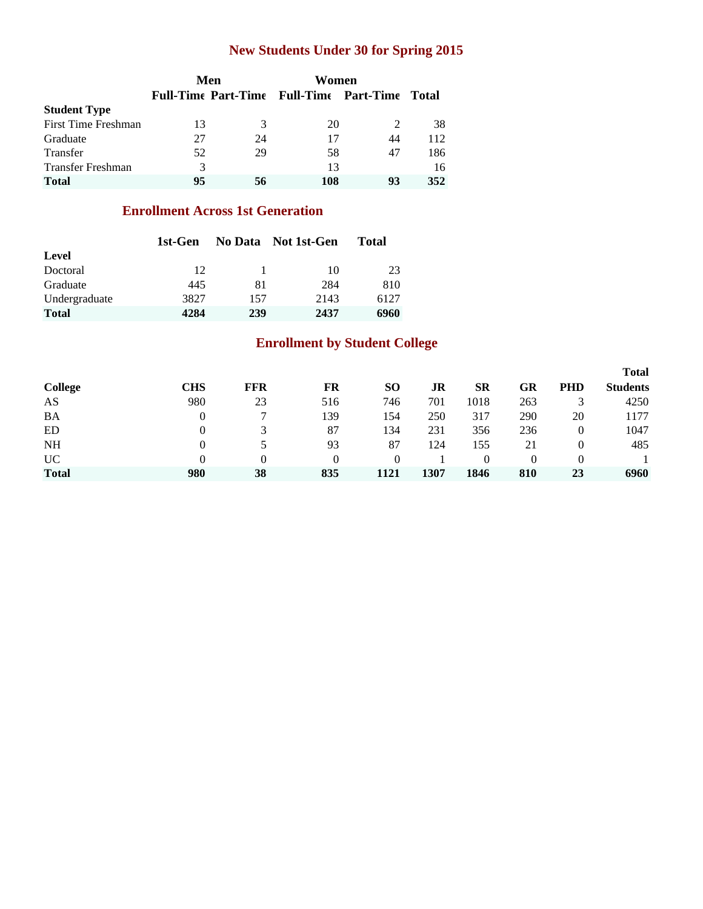## **New Students Under 30 for Spring 2015**

|                          |    | Men | Women                                          |    |       |
|--------------------------|----|-----|------------------------------------------------|----|-------|
|                          |    |     | <b>Full-Time Part-Time Full-Time Part-Time</b> |    | Total |
| <b>Student Type</b>      |    |     |                                                |    |       |
| First Time Freshman      | 13 | 3   | 20                                             |    | 38    |
| Graduate                 | 27 | 24  | 17                                             | 44 | 112   |
| Transfer                 | 52 | 29  | 58                                             | 47 | 186   |
| <b>Transfer Freshman</b> | 3  |     | 13                                             |    | 16    |
| <b>Total</b>             | 95 | 56  | 108                                            | 93 | 352   |

### **Enrollment Across 1st Generation**

|               | 1st-Gen |     | No Data Not 1st-Gen | <b>Total</b> |
|---------------|---------|-----|---------------------|--------------|
| Level         |         |     |                     |              |
| Doctoral      | 12      |     | 10                  | 23           |
| Graduate      | 445     | 81  | 284                 | 810          |
| Undergraduate | 3827    | 157 | 2143                | 6127         |
| <b>Total</b>  | 4284    | 239 | 2437                | 6960         |

## **Enrollment by Student College**

|                |          |            |     |                 |      |           |          |            | <b>Total</b>    |
|----------------|----------|------------|-----|-----------------|------|-----------|----------|------------|-----------------|
| <b>College</b> | CHS      | <b>FFR</b> | FR  | SO <sub>1</sub> | JR   | <b>SR</b> | GR       | <b>PHD</b> | <b>Students</b> |
| AS             | 980      | 23         | 516 | 746             | 701  | 1018      | 263      |            | 4250            |
| BA             | $\Omega$ |            | 139 | 154             | 250  | 317       | 290      | 20         | 1177            |
| ED             |          |            | 87  | 134             | 231  | 356       | 236      | 0          | 1047            |
| <b>NH</b>      |          |            | 93  | 87              | 124  | 155       | 21       | 0          | 485             |
| <b>UC</b>      |          | 0          | 0   |                 |      | $\Omega$  | $\Omega$ | $\theta$   |                 |
| <b>Total</b>   | 980      | 38         | 835 | 1121            | 1307 | 1846      | 810      | 23         | 6960            |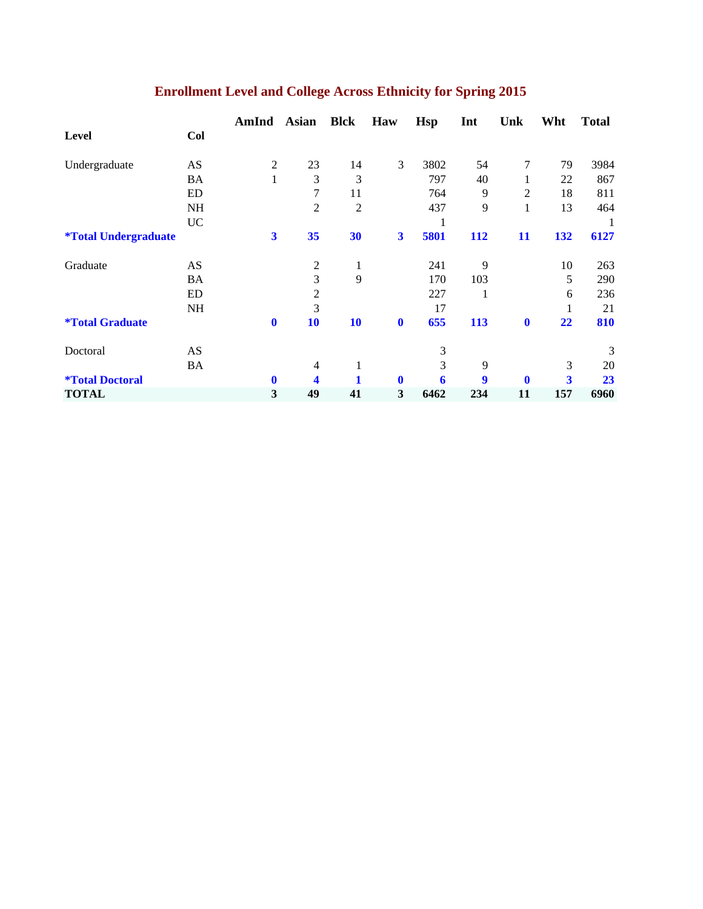|                                    |           | AmInd                   | <b>Asian</b>   | <b>Blck</b>    | Haw                     | <b>Hsp</b> | Int | Unk            | Wht         | <b>Total</b> |
|------------------------------------|-----------|-------------------------|----------------|----------------|-------------------------|------------|-----|----------------|-------------|--------------|
| Level                              | Col       |                         |                |                |                         |            |     |                |             |              |
| Undergraduate                      | AS        | 2                       | 23             | 14             | 3                       | 3802       | 54  | 7              | 79          | 3984         |
|                                    | BA        | $\mathbf{1}$            | 3              | 3              |                         | 797        | 40  |                | 22          | 867          |
|                                    | ED        |                         | 7              | 11             |                         | 764        | 9   | $\overline{2}$ | 18          | 811          |
|                                    | NH        |                         | $\overline{2}$ | $\overline{2}$ |                         | 437        | 9   | 1              | 13          | 464          |
|                                    | <b>UC</b> |                         |                |                |                         | 1          |     |                |             | 1            |
| <i><b>*Total Undergraduate</b></i> |           | $\overline{\mathbf{3}}$ | 35             | 30             | $\overline{\mathbf{3}}$ | 5801       | 112 | 11             | 132         | 6127         |
| Graduate                           | AS        |                         | $\overline{c}$ | 1              |                         | 241        | 9   |                | 10          | 263          |
|                                    | <b>BA</b> |                         | 3              | 9              |                         | 170        | 103 |                | 5           | 290          |
|                                    | ED        |                         | $\overline{2}$ |                |                         | 227        |     |                | 6           | 236          |
|                                    | NH        |                         | 3              |                |                         | 17         |     |                | $\mathbf 1$ | 21           |
| <i><b>*Total Graduate</b></i>      |           | $\mathbf 0$             | 10             | 10             | $\boldsymbol{0}$        | 655        | 113 | $\mathbf 0$    | 22          | 810          |
| Doctoral                           | AS        |                         |                |                |                         | 3          |     |                |             | 3            |
|                                    | BA        |                         | $\overline{4}$ | 1              |                         | 3          | 9   |                | 3           | 20           |
| <i><b>*Total Doctoral</b></i>      |           | $\bf{0}$                | 4              |                | $\bf{0}$                | 6          | 9   | $\mathbf 0$    | 3           | 23           |
| <b>TOTAL</b>                       |           | 3                       | 49             | 41             | 3                       | 6462       | 234 | 11             | 157         | 6960         |

# **Enrollment Level and College Across Ethnicity for Spring 2015**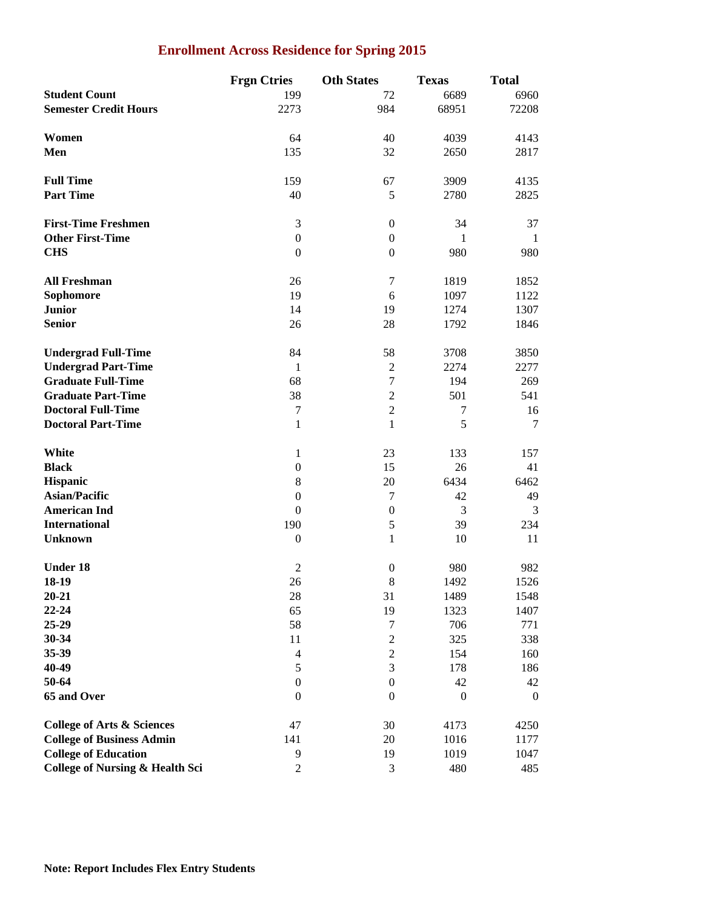### **Enrollment Across Residence for Spring 2015**

|                                            | <b>Frgn Ctries</b> | <b>Oth States</b> | <b>Texas</b>     | <b>Total</b> |
|--------------------------------------------|--------------------|-------------------|------------------|--------------|
| <b>Student Count</b>                       | 199                | 72                | 6689             | 6960         |
| <b>Semester Credit Hours</b>               | 2273               | 984               | 68951            | 72208        |
|                                            |                    |                   |                  |              |
| Women                                      | 64                 | 40                | 4039             | 4143         |
| Men                                        | 135                | 32                | 2650             | 2817         |
|                                            |                    |                   |                  |              |
| <b>Full Time</b>                           | 159                | 67                | 3909             | 4135         |
| <b>Part Time</b>                           | 40                 | 5                 | 2780             | 2825         |
|                                            |                    |                   |                  |              |
| <b>First-Time Freshmen</b>                 | 3                  | $\boldsymbol{0}$  | 34               | 37           |
| <b>Other First-Time</b>                    | $\boldsymbol{0}$   | $\boldsymbol{0}$  | 1                | 1            |
| <b>CHS</b>                                 | $\boldsymbol{0}$   | $\boldsymbol{0}$  | 980              | 980          |
|                                            |                    |                   |                  |              |
| <b>All Freshman</b>                        | 26                 | 7                 | 1819             | 1852         |
| Sophomore                                  | 19                 | 6                 | 1097             | 1122         |
| <b>Junior</b>                              | 14                 | 19                | 1274             | 1307         |
| <b>Senior</b>                              | 26                 | 28                | 1792             | 1846         |
|                                            |                    |                   |                  |              |
| <b>Undergrad Full-Time</b>                 | 84                 | 58                | 3708             | 3850         |
| <b>Undergrad Part-Time</b>                 | $\mathbf{1}$       | $\boldsymbol{2}$  | 2274             | 2277         |
| <b>Graduate Full-Time</b>                  | 68                 | $\tau$            | 194              | 269          |
| <b>Graduate Part-Time</b>                  | 38                 | $\overline{2}$    | 501              | 541          |
| <b>Doctoral Full-Time</b>                  | $\tau$             | $\mathbf{2}$      | 7                | 16           |
| <b>Doctoral Part-Time</b>                  | 1                  | 1                 | 5                | 7            |
|                                            |                    |                   |                  |              |
| White                                      | $\mathbf{1}$       | 23                | 133              | 157          |
| <b>Black</b>                               | $\boldsymbol{0}$   | 15                | 26               | 41           |
| Hispanic                                   | $\,8\,$            | 20                | 6434             | 6462         |
| <b>Asian/Pacific</b>                       | $\boldsymbol{0}$   | 7                 | 42               | 49           |
| <b>American Ind</b>                        | $\boldsymbol{0}$   | $\boldsymbol{0}$  | 3                | 3            |
| <b>International</b>                       | 190                | $\mathfrak s$     | 39               | 234          |
| <b>Unknown</b>                             | $\boldsymbol{0}$   | 1                 | 10               | 11           |
|                                            |                    |                   |                  |              |
| <b>Under 18</b>                            | $\overline{2}$     | $\boldsymbol{0}$  | 980              | 982          |
| 18-19                                      | 26                 | $8\,$             | 1492             | 1526         |
| $20 - 21$                                  | 28                 | 31                | 1489             | 1548         |
| $22 - 24$                                  | 65                 | 19                | 1323             | 1407         |
| 25-29                                      | 58                 | 7                 | 706              | 771          |
| 30-34                                      | 11                 | $\boldsymbol{2}$  | 325              | 338          |
| 35-39                                      | $\overline{4}$     | $\overline{c}$    | 154              | 160          |
| 40-49                                      | $\sqrt{5}$         | 3                 | 178              | 186          |
| 50-64                                      | $\boldsymbol{0}$   | $\boldsymbol{0}$  | 42               | 42           |
| 65 and Over                                | $\boldsymbol{0}$   | $\boldsymbol{0}$  | $\boldsymbol{0}$ | $\mathbf{0}$ |
|                                            |                    |                   |                  |              |
| <b>College of Arts &amp; Sciences</b>      | 47                 | 30                | 4173             | 4250         |
| <b>College of Business Admin</b>           | 141                | 20                | 1016             | 1177         |
| <b>College of Education</b>                | 9                  | 19                | 1019             | 1047         |
| <b>College of Nursing &amp; Health Sci</b> | $\boldsymbol{2}$   | 3                 | 480              | 485          |
|                                            |                    |                   |                  |              |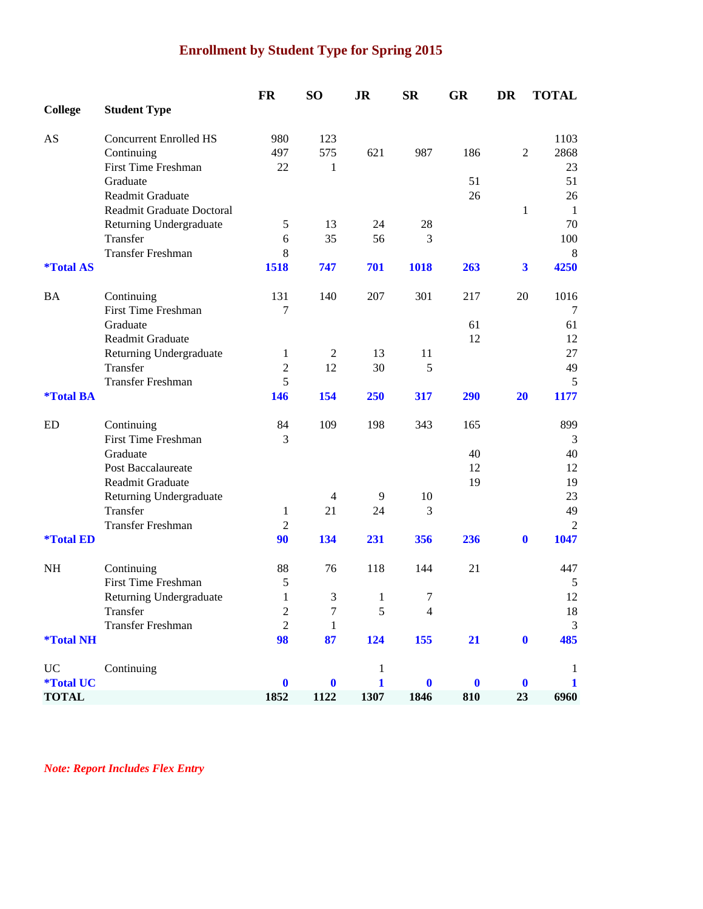# **Enrollment by Student Type for Spring 2015**

|                         |                               | FR             | SO <sub>1</sub> | <b>JR</b>    | <b>SR</b>        | <b>GR</b> | <b>DR</b>               | <b>TOTAL</b>   |
|-------------------------|-------------------------------|----------------|-----------------|--------------|------------------|-----------|-------------------------|----------------|
| <b>College</b>          | <b>Student Type</b>           |                |                 |              |                  |           |                         |                |
| AS                      | <b>Concurrent Enrolled HS</b> | 980            | 123             |              |                  |           |                         | 1103           |
|                         | Continuing                    | 497            | 575             | 621          | 987              | 186       | $\overline{2}$          | 2868           |
|                         | <b>First Time Freshman</b>    | 22             | 1               |              |                  |           |                         | 23             |
|                         | Graduate                      |                |                 |              |                  | 51        |                         | 51             |
|                         | Readmit Graduate              |                |                 |              |                  | 26        |                         | 26             |
|                         | Readmit Graduate Doctoral     |                |                 |              |                  |           | $\mathbf{1}$            | -1             |
|                         | Returning Undergraduate       | 5              | 13              | 24           | 28               |           |                         | 70             |
|                         | Transfer                      | 6              | 35              | 56           | 3                |           |                         | 100            |
|                         | <b>Transfer Freshman</b>      | 8              |                 |              |                  |           |                         | 8              |
| <i><b>*Total AS</b></i> |                               | 1518           | 747             | 701          | 1018             | 263       | $\overline{\mathbf{3}}$ | 4250           |
| <b>BA</b>               | Continuing                    | 131            | 140             | 207          | 301              | 217       | 20                      | 1016           |
|                         | First Time Freshman           | 7              |                 |              |                  |           |                         | 7              |
|                         | Graduate                      |                |                 |              |                  | 61        |                         | 61             |
|                         | Readmit Graduate              |                |                 |              |                  | 12        |                         | 12             |
|                         | Returning Undergraduate       | 1              | $\mathfrak{2}$  | 13           | 11               |           |                         | 27             |
|                         | Transfer                      | $\overline{2}$ | 12              | 30           | 5                |           |                         | 49             |
|                         | <b>Transfer Freshman</b>      | 5              |                 |              |                  |           |                         | 5              |
| <i><b>*Total BA</b></i> |                               | 146            | 154             | 250          | 317              | 290       | 20                      | 1177           |
| ED                      | Continuing                    | 84             | 109             | 198          | 343              | 165       |                         | 899            |
|                         | <b>First Time Freshman</b>    | 3              |                 |              |                  |           |                         | 3              |
|                         | Graduate                      |                |                 |              |                  | 40        |                         | 40             |
|                         | Post Baccalaureate            |                |                 |              |                  | 12        |                         | 12             |
|                         | Readmit Graduate              |                |                 |              |                  | 19        |                         | 19             |
|                         | Returning Undergraduate       |                | $\overline{4}$  | 9            | 10               |           |                         | 23             |
|                         | Transfer                      | 1              | 21              | 24           | 3                |           |                         | 49             |
|                         | <b>Transfer Freshman</b>      | $\overline{2}$ |                 |              |                  |           |                         | 2              |
| <i><b>*Total ED</b></i> |                               | 90             | 134             | 231          | 356              | 236       | $\bf{0}$                | 1047           |
| NH                      | Continuing                    | 88             | 76              | 118          | 144              | 21        |                         | 447            |
|                         | <b>First Time Freshman</b>    | 5              |                 |              |                  |           |                         | 5              |
|                         | Returning Undergraduate       | $\mathbf{1}$   | 3               | $\mathbf{1}$ | $\boldsymbol{7}$ |           |                         | 12             |
|                         | Transfer                      | $\sqrt{2}$     | 7               | 5            | $\overline{4}$   |           |                         | 18             |
|                         | <b>Transfer Freshman</b>      | $\overline{2}$ | 1               |              |                  |           |                         | $\mathfrak{Z}$ |
| <i><b>*Total NH</b></i> |                               | 98             | 87              | 124          | 155              | 21        | $\mathbf{0}$            | 485            |
| UC                      | Continuing                    |                |                 | 1            |                  |           |                         | $\mathbf{1}$   |
| <i><b>*Total UC</b></i> |                               | $\bf{0}$       | 0               | 1            | $\bf{0}$         | $\bf{0}$  | $\mathbf 0$             | 1              |
| <b>TOTAL</b>            |                               | 1852           | 1122            | 1307         | 1846             | 810       | 23                      | 6960           |

*Note: Report Includes Flex Entry*